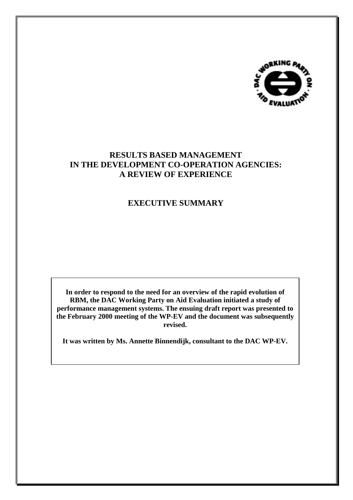

# **RESULTS BASED MANAGEMENT IN THE DEVELOPMENT CO-OPERATION AGENCIES: A REVIEW OF EXPERIENCE**

# **EXECUTIVE SUMMARY**

**In order to respond to the need for an overview of the rapid evolution of RBM, the DAC Working Party on Aid Evaluation initiated a study of performance management systems. The ensuing draft report was presented to the February 2000 meeting of the WP-EV and the document was subsequently revised.**

**It was written by Ms. Annette Binnendijk, consultant to the DAC WP-EV.**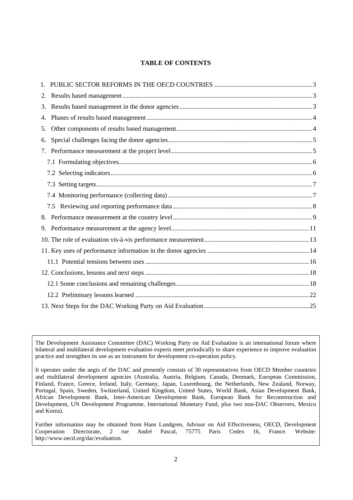## **TABLE OF CONTENTS**

| 2. |  |  |
|----|--|--|
| 3. |  |  |
| 4. |  |  |
| 5. |  |  |
| 6. |  |  |
| 7. |  |  |
|    |  |  |
|    |  |  |
|    |  |  |
|    |  |  |
|    |  |  |
|    |  |  |
|    |  |  |
|    |  |  |
|    |  |  |
|    |  |  |
|    |  |  |
|    |  |  |
|    |  |  |
|    |  |  |

The Development Assistance Committee (DAC) Working Party on Aid Evaluation is an international forum where bilateral and multilateral development evaluation experts meet periodically to share experience to improve evaluation practice and strengthen its use as an instrument for development co-operation policy.

It operates under the aegis of the DAC and presently consists of 30 representatives from OECD Member countries and multilateral development agencies (Australia, Austria, Belgium, Canada, Denmark, European Commission, Finland, France, Greece, Ireland, Italy, Germany, Japan, Luxembourg, the Netherlands, New Zealand, Norway, Portugal, Spain, Sweden, Switzerland, United Kingdom, United States, World Bank, Asian Development Bank, African Development Bank, Inter-American Development Bank, European Bank for Reconstruction and Development, UN Development Programme, International Monetary Fund, plus two non-DAC Observers, Mexico and Korea).

Further information may be obtained from Hans Lundgren, Advisor on Aid Effectiveness, OECD, Development Cooperation Directorate, 2 rue André Pascal, 75775 Paris Cedex 16, France. Website: Cooperation Directorate, 2 rue André Pascal, 75775 Paris Cedex 16, http://www.oecd.org/dac/evaluation.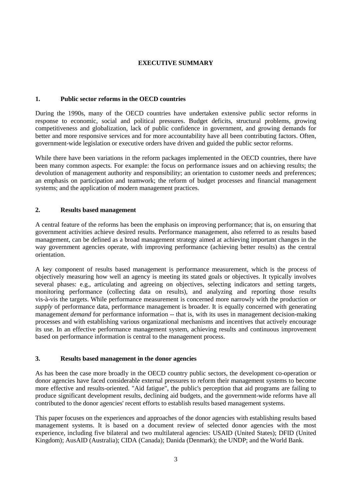## **EXECUTIVE SUMMARY**

### **1. Public sector reforms in the OECD countries**

During the 1990s, many of the OECD countries have undertaken extensive public sector reforms in response to economic, social and political pressures. Budget deficits, structural problems, growing competitiveness and globalization, lack of public confidence in government, and growing demands for better and more responsive services and for more accountability have all been contributing factors. Often, government-wide legislation or executive orders have driven and guided the public sector reforms.

While there have been variations in the reform packages implemented in the OECD countries, there have been many common aspects. For example: the focus on performance issues and on achieving results; the devolution of management authority and responsibility; an orientation to customer needs and preferences; an emphasis on participation and teamwork; the reform of budget processes and financial management systems; and the application of modern management practices.

### **2. Results based management**

A central feature of the reforms has been the emphasis on improving performance; that is, on ensuring that government activities achieve desired results. Performance management, also referred to as results based management, can be defined as a broad management strategy aimed at achieving important changes in the way government agencies operate, with improving performance (achieving better results) as the central orientation.

A key component of results based management is performance measurement, which is the process of objectively measuring how well an agency is meeting its stated goals or objectives. It typically involves several phases: e.g., articulating and agreeing on objectives, selecting indicators and setting targets, monitoring performance (collecting data on results), and analyzing and reporting those results vis-à-vis the targets. While performance measurement is concerned more narrowly with the production *or supply* of performance data, performance management is broader. It is equally concerned with generating management *demand* for performance information -- that is, with its uses in management decision-making processes and with establishing various organizational mechanisms and incentives that actively encourage its use. In an effective performance management system, achieving results and continuous improvement based on performance information is central to the management process.

### **3. Results based management in the donor agencies**

As has been the case more broadly in the OECD country public sectors, the development co-operation or donor agencies have faced considerable external pressures to reform their management systems to become more effective and results-oriented. "Aid fatigue", the public's perception that aid programs are failing to produce significant development results, declining aid budgets, and the government-wide reforms have all contributed to the donor agencies' recent efforts to establish results based management systems.

This paper focuses on the experiences and approaches of the donor agencies with establishing results based management systems. It is based on a document review of selected donor agencies with the most experience, including five bilateral and two multilateral agencies: USAID (United States); DFID (United Kingdom); AusAID (Australia); CIDA (Canada); Danida (Denmark); the UNDP; and the World Bank.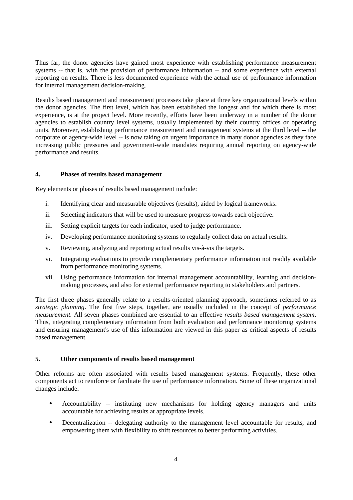Thus far, the donor agencies have gained most experience with establishing performance measurement systems -- that is, with the provision of performance information -- and some experience with external reporting on results. There is less documented experience with the actual use of performance information for internal management decision-making.

Results based management and measurement processes take place at three key organizational levels within the donor agencies. The first level, which has been established the longest and for which there is most experience, is at the project level. More recently, efforts have been underway in a number of the donor agencies to establish country level systems, usually implemented by their country offices or operating units. Moreover, establishing performance measurement and management systems at the third level -- the corporate or agency-wide level -- is now taking on urgent importance in many donor agencies as they face increasing public pressures and government-wide mandates requiring annual reporting on agency-wide performance and results.

## **4. Phases of results based management**

Key elements or phases of results based management include:

- i. Identifying clear and measurable objectives (results), aided by logical frameworks.
- ii. Selecting indicators that will be used to measure progress towards each objective.
- iii. Setting explicit targets for each indicator, used to judge performance.
- iv. Developing performance monitoring systems to regularly collect data on actual results.
- v. Reviewing, analyzing and reporting actual results vis-à-vis the targets.
- vi. Integrating evaluations to provide complementary performance information not readily available from performance monitoring systems.
- vii. Using performance information for internal management accountability, learning and decisionmaking processes, and also for external performance reporting to stakeholders and partners.

The first three phases generally relate to a results-oriented planning approach, sometimes referred to as *strategic planning*. The first five steps, together, are usually included in the concept of *performance measurement.* All seven phases combined are essential to an effective *results based management system*. Thus, integrating complementary information from both evaluation and performance monitoring systems and ensuring management's use of this information are viewed in this paper as critical aspects of results based management.

#### **5. Other components of results based management**

Other reforms are often associated with results based management systems. Frequently, these other components act to reinforce or facilitate the use of performance information. Some of these organizational changes include:

- Accountability -- instituting new mechanisms for holding agency managers and units accountable for achieving results at appropriate levels.
- Decentralization -- delegating authority to the management level accountable for results, and empowering them with flexibility to shift resources to better performing activities.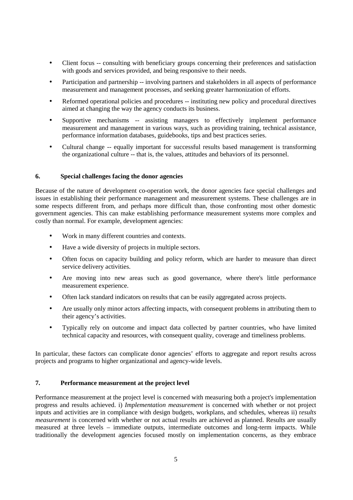- Client focus -- consulting with beneficiary groups concerning their preferences and satisfaction with goods and services provided, and being responsive to their needs.
- Participation and partnership -- involving partners and stakeholders in all aspects of performance measurement and management processes, and seeking greater harmonization of efforts.
- Reformed operational policies and procedures -- instituting new policy and procedural directives aimed at changing the way the agency conducts its business.
- Supportive mechanisms -- assisting managers to effectively implement performance measurement and management in various ways, such as providing training, technical assistance, performance information databases, guidebooks, tips and best practices series.
- Cultural change -- equally important for successful results based management is transforming the organizational culture -- that is, the values, attitudes and behaviors of its personnel.

## **6. Special challenges facing the donor agencies**

Because of the nature of development co-operation work, the donor agencies face special challenges and issues in establishing their performance management and measurement systems. These challenges are in some respects different from, and perhaps more difficult than, those confronting most other domestic government agencies. This can make establishing performance measurement systems more complex and costly than normal. For example, development agencies:

- Work in many different countries and contexts.
- Have a wide diversity of projects in multiple sectors.
- Often focus on capacity building and policy reform, which are harder to measure than direct service delivery activities.
- Are moving into new areas such as good governance, where there's little performance measurement experience.
- Often lack standard indicators on results that can be easily aggregated across projects.
- Are usually only minor actors affecting impacts, with consequent problems in attributing them to their agency's activities.
- Typically rely on outcome and impact data collected by partner countries, who have limited technical capacity and resources, with consequent quality, coverage and timeliness problems.

In particular, these factors can complicate donor agencies' efforts to aggregate and report results across projects and programs to higher organizational and agency-wide levels.

## **7. Performance measurement at the project level**

Performance measurement at the project level is concerned with measuring both a project's implementation progress and results achieved. i) *Implementation measurement* is concerned with whether or not project inputs and activities are in compliance with design budgets, workplans, and schedules, whereas ii) r*esults measurement* is concerned with whether or not actual results are achieved as planned. Results are usually measured at three levels – immediate outputs, intermediate outcomes and long-term impacts. While traditionally the development agencies focused mostly on implementation concerns, as they embrace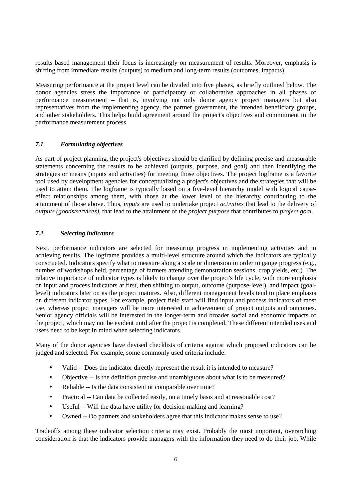results based management their focus is increasingly on measurement of results. Moreover, emphasis is shifting from immediate results (outputs) to medium and long-term results (outcomes, impacts)

Measuring performance at the project level can be divided into five phases, as briefly outlined below. The donor agencies stress the importance of participatory or collaborative approaches in all phases of performance measurement – that is, involving not only donor agency project managers but also representatives from the implementing agency, the partner government, the intended beneficiary groups, and other stakeholders. This helps build agreement around the project's objectives and commitment to the performance measurement process.

### *7.1 Formulating objectives*

As part of project planning, the project's objectives should be clarified by defining precise and measurable statements concerning the results to be achieved (outputs, purpose, and goal) and then identifying the strategies or means (inputs and activities) for meeting those objectives. The project logframe is a favorite tool used by development agencies for conceptualizing a project's objectives and the strategies that will be used to attain them. The logframe is typically based on a five-level hierarchy model with logical causeeffect relationships among them, with those at the lower level of the hierarchy contributing to the attainment of those above. Thus, *inputs* are used to undertake project *activities* that lead to the delivery of *outputs (goods/services)*, that lead to the attainment of the *project purpose* that contributes to *project goal*.

## *7.2 Selecting indicators*

Next, performance indicators are selected for measuring progress in implementing activities and in achieving results. The logframe provides a multi-level structure around which the indicators are typically constructed. Indicators specify what to measure along a scale or dimension in order to gauge progress (e.g., number of workshops held, percentage of farmers attending demonstration sessions, crop yields, etc.). The relative importance of indicator types is likely to change over the project's life cycle, with more emphasis on input and process indicators at first, then shifting to output, outcome (purpose-level), and impact (goallevel) indicators later on as the project matures. Also, different management levels tend to place emphasis on different indicator types. For example, project field staff will find input and process indicators of most use, whereas project managers will be more interested in achievement of project outputs and outcomes. Senior agency officials will be interested in the longer-term and broader social and economic impacts of the project, which may not be evident until after the project is completed. These different intended uses and users need to be kept in mind when selecting indicators.

Many of the donor agencies have devised checklists of criteria against which proposed indicators can be judged and selected. For example, some commonly used criteria include:

- Valid -- Does the indicator directly represent the result it is intended to measure?
- Objective -- Is the definition precise and unambiguous about what is to be measured?
- Reliable -- Is the data consistent or comparable over time?
- Practical -- Can data be collected easily, on a timely basis and at reasonable cost?
- Useful -- Will the data have utility for decision-making and learning?
- Owned -- Do partners and stakeholders agree that this indicator makes sense to use?

Tradeoffs among these indicator selection criteria may exist. Probably the most important, overarching consideration is that the indicators provide managers with the information they need to do their job. While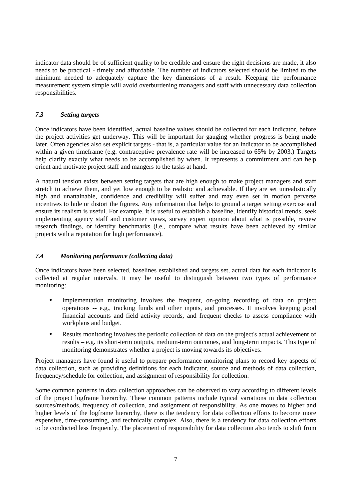indicator data should be of sufficient quality to be credible and ensure the right decisions are made, it also needs to be practical - timely and affordable. The number of indicators selected should be limited to the minimum needed to adequately capture the key dimensions of a result. Keeping the performance measurement system simple will avoid overburdening managers and staff with unnecessary data collection responsibilities.

## *7.3 Setting targets*

Once indicators have been identified, actual baseline values should be collected for each indicator, before the project activities get underway. This will be important for gauging whether progress is being made later. Often agencies also set explicit targets - that is, a particular value for an indicator to be accomplished within a given timeframe (e.g. contraceptive prevalence rate will be increased to 65% by 2003.) Targets help clarify exactly what needs to be accomplished by when. It represents a commitment and can help orient and motivate project staff and mangers to the tasks at hand.

A natural tension exists between setting targets that are high enough to make project managers and staff stretch to achieve them, and yet low enough to be realistic and achievable. If they are set unrealistically high and unattainable, confidence and credibility will suffer and may even set in motion perverse incentives to hide or distort the figures. Any information that helps to ground a target setting exercise and ensure its realism is useful. For example, it is useful to establish a baseline, identify historical trends, seek implementing agency staff and customer views, survey expert opinion about what is possible, review research findings, or identify benchmarks (i.e., compare what results have been achieved by similar projects with a reputation for high performance).

## *7.4 Monitoring performance (collecting data)*

Once indicators have been selected, baselines established and targets set, actual data for each indicator is collected at regular intervals. It may be useful to distinguish between two types of performance monitoring:

- Implementation monitoring involves the frequent, on-going recording of data on project operations -- e.g., tracking funds and other inputs, and processes. It involves keeping good financial accounts and field activity records, and frequent checks to assess compliance with workplans and budget.
- Results monitoring involves the periodic collection of data on the project's actual achievement of results – e.g. its short-term outputs, medium-term outcomes, and long-term impacts. This type of monitoring demonstrates whether a project is moving towards its objectives.

Project managers have found it useful to prepare performance monitoring plans to record key aspects of data collection, such as providing definitions for each indicator, source and methods of data collection, frequency/schedule for collection, and assignment of responsibility for collection.

Some common patterns in data collection approaches can be observed to vary according to different levels of the project logframe hierarchy. These common patterns include typical variations in data collection sources/methods, frequency of collection, and assignment of responsibility. As one moves to higher and higher levels of the logframe hierarchy, there is the tendency for data collection efforts to become more expensive, time-consuming, and technically complex. Also, there is a tendency for data collection efforts to be conducted less frequently. The placement of responsibility for data collection also tends to shift from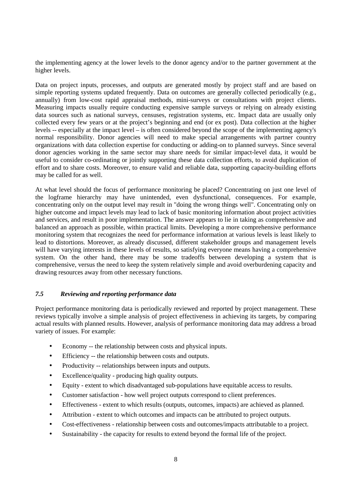the implementing agency at the lower levels to the donor agency and/or to the partner government at the higher levels.

Data on project inputs, processes, and outputs are generated mostly by project staff and are based on simple reporting systems updated frequently. Data on outcomes are generally collected periodically (e.g., annually) from low-cost rapid appraisal methods, mini-surveys or consultations with project clients. Measuring impacts usually require conducting expensive sample surveys or relying on already existing data sources such as national surveys, censuses, registration systems, etc. Impact data are usually only collected every few years or at the project's beginning and end (or ex post). Data collection at the higher levels -- especially at the impact level – is often considered beyond the scope of the implementing agency's normal responsibility. Donor agencies will need to make special arrangements with partner country organizations with data collection expertise for conducting or adding-on to planned surveys. Since several donor agencies working in the same sector may share needs for similar impact-level data, it would be useful to consider co-ordinating or jointly supporting these data collection efforts, to avoid duplication of effort and to share costs. Moreover, to ensure valid and reliable data, supporting capacity-building efforts may be called for as well.

At what level should the focus of performance monitoring be placed? Concentrating on just one level of the logframe hierarchy may have unintended, even dysfunctional, consequences. For example, concentrating only on the output level may result in "doing the wrong things well". Concentrating only on higher outcome and impact levels may lead to lack of basic monitoring information about project activities and services, and result in poor implementation. The answer appears to lie in taking as comprehensive and balanced an approach as possible, within practical limits. Developing a more comprehensive performance monitoring system that recognizes the need for performance information at various levels is least likely to lead to distortions. Moreover, as already discussed, different stakeholder groups and management levels will have varying interests in these levels of results, so satisfying everyone means having a comprehensive system. On the other hand, there may be some tradeoffs between developing a system that is comprehensive, versus the need to keep the system relatively simple and avoid overburdening capacity and drawing resources away from other necessary functions.

## *7.5 Reviewing and reporting performance data*

Project performance monitoring data is periodically reviewed and reported by project management. These reviews typically involve a simple analysis of project effectiveness in achieving its targets, by comparing actual results with planned results. However, analysis of performance monitoring data may address a broad variety of issues. For example:

- Economy -- the relationship between costs and physical inputs.
- Efficiency -- the relationship between costs and outputs.
- Productivity -- relationships between inputs and outputs.
- Excellence/quality producing high quality outputs.
- Equity extent to which disadvantaged sub-populations have equitable access to results.
- Customer satisfaction how well project outputs correspond to client preferences.
- Effectiveness extent to which results (outputs, outcomes, impacts) are achieved as planned.
- Attribution extent to which outcomes and impacts can be attributed to project outputs.
- Cost-effectiveness relationship between costs and outcomes/impacts attributable to a project.
- Sustainability the capacity for results to extend beyond the formal life of the project.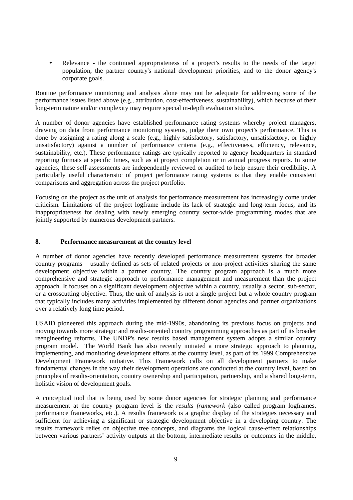• Relevance - the continued appropriateness of a project's results to the needs of the target population, the partner country's national development priorities, and to the donor agency's corporate goals.

Routine performance monitoring and analysis alone may not be adequate for addressing some of the performance issues listed above (e.g., attribution, cost-effectiveness, sustainability), which because of their long-term nature and/or complexity may require special in-depth evaluation studies.

A number of donor agencies have established performance rating systems whereby project managers, drawing on data from performance monitoring systems, judge their own project's performance. This is done by assigning a rating along a scale (e.g., highly satisfactory, satisfactory, unsatisfactory, or highly unsatisfactory) against a number of performance criteria (e.g., effectiveness, efficiency, relevance, sustainability, etc.). These performance ratings are typically reported to agency headquarters in standard reporting formats at specific times, such as at project completion or in annual progress reports. In some agencies, these self-assessments are independently reviewed or audited to help ensure their credibility. A particularly useful characteristic of project performance rating systems is that they enable consistent comparisons and aggregation across the project portfolio.

Focusing on the project as the unit of analysis for performance measurement has increasingly come under criticism. Limitations of the project logframe include its lack of strategic and long-term focus, and its inappropriateness for dealing with newly emerging country sector-wide programming modes that are jointly supported by numerous development partners.

### **8. Performance measurement at the country level**

A number of donor agencies have recently developed performance measurement systems for broader country programs – usually defined as sets of related projects or non-project activities sharing the same development objective within a partner country. The country program approach is a much more comprehensive and strategic approach to performance management and measurement than the project approach. It focuses on a significant development objective within a country, usually a sector, sub-sector, or a crosscutting objective. Thus, the unit of analysis is not a single project but a whole country program that typically includes many activities implemented by different donor agencies and partner organizations over a relatively long time period.

USAID pioneered this approach during the mid-1990s, abandoning its previous focus on projects and moving towards more strategic and results-oriented country programming approaches as part of its broader reengineering reforms. The UNDP's new results based management system adopts a similar country program model. The World Bank has also recently initiated a more strategic approach to planning, implementing, and monitoring development efforts at the country level, as part of its 1999 Comprehensive Development Framework initiative. This Framework calls on all development partners to make fundamental changes in the way their development operations are conducted at the country level, based on principles of results-orientation, country ownership and participation, partnership, and a shared long-term, holistic vision of development goals.

A conceptual tool that is being used by some donor agencies for strategic planning and performance measurement at the country program level is the *results framework* (also called program logframes, performance frameworks, etc.). A results framework is a graphic display of the strategies necessary and sufficient for achieving a significant or strategic development objective in a developing country. The results framework relies on objective tree concepts, and diagrams the logical cause-effect relationships between various partners' activity outputs at the bottom, intermediate results or outcomes in the middle,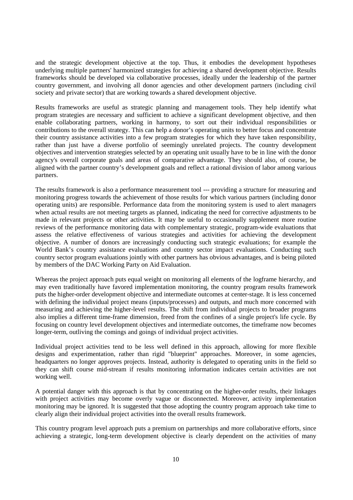and the strategic development objective at the top. Thus, it embodies the development hypotheses underlying multiple partners' harmonized strategies for achieving a shared development objective. Results frameworks should be developed via collaborative processes, ideally under the leadership of the partner country government, and involving all donor agencies and other development partners (including civil society and private sector) that are working towards a shared development objective.

Results frameworks are useful as strategic planning and management tools. They help identify what program strategies are necessary and sufficient to achieve a significant development objective, and then enable collaborating partners, working in harmony, to sort out their individual responsibilities or contributions to the overall strategy. This can help a donor's operating units to better focus and concentrate their country assistance activities into a few program strategies for which they have taken responsibility, rather than just have a diverse portfolio of seemingly unrelated projects. The country development objectives and intervention strategies selected by an operating unit usually have to be in line with the donor agency's overall corporate goals and areas of comparative advantage. They should also, of course, be aligned with the partner country's development goals and reflect a rational division of labor among various partners.

The results framework is also a performance measurement tool --- providing a structure for measuring and monitoring progress towards the achievement of those results for which various partners (including donor operating units) are responsible. Performance data from the monitoring system is used to alert managers when actual results are not meeting targets as planned, indicating the need for corrective adjustments to be made in relevant projects or other activities. It may be useful to occasionally supplement more routine reviews of the performance monitoring data with complementary strategic, program-wide evaluations that assess the relative effectiveness of various strategies and activities for achieving the development objective. A number of donors are increasingly conducting such strategic evaluations; for example the World Bank's country assistance evaluations and country sector impact evaluations. Conducting such country sector program evaluations jointly with other partners has obvious advantages, and is being piloted by members of the DAC Working Party on Aid Evaluation.

Whereas the project approach puts equal weight on monitoring all elements of the logframe hierarchy, and may even traditionally have favored implementation monitoring, the country program results framework puts the higher-order development objective and intermediate outcomes at center-stage. It is less concerned with defining the individual project means (inputs/processes) and outputs, and much more concerned with measuring and achieving the higher-level results. The shift from individual projects to broader programs also implies a different time-frame dimension, freed from the confines of a single project's life cycle. By focusing on country level development objectives and intermediate outcomes, the timeframe now becomes longer-term, outliving the comings and goings of individual project activities.

Individual project activities tend to be less well defined in this approach, allowing for more flexible designs and experimentation, rather than rigid "blueprint" approaches. Moreover, in some agencies, headquarters no longer approves projects. Instead, authority is delegated to operating units in the field so they can shift course mid-stream if results monitoring information indicates certain activities are not working well.

A potential danger with this approach is that by concentrating on the higher-order results, their linkages with project activities may become overly vague or disconnected. Moreover, activity implementation monitoring may be ignored. It is suggested that those adopting the country program approach take time to clearly align their individual project activities into the overall results framework.

This country program level approach puts a premium on partnerships and more collaborative efforts, since achieving a strategic, long-term development objective is clearly dependent on the activities of many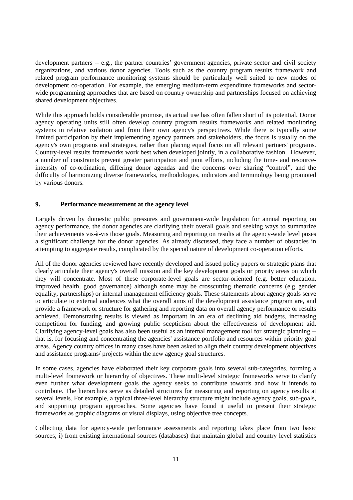development partners -- e.g., the partner countries' government agencies, private sector and civil society organizations, and various donor agencies. Tools such as the country program results framework and related program performance monitoring systems should be particularly well suited to new modes of development co-operation. For example, the emerging medium-term expenditure frameworks and sectorwide programming approaches that are based on country ownership and partnerships focused on achieving shared development objectives.

While this approach holds considerable promise, its actual use has often fallen short of its potential. Donor agency operating units still often develop country program results frameworks and related monitoring systems in relative isolation and from their own agency's perspectives. While there is typically some limited participation by their implementing agency partners and stakeholders, the focus is usually on the agency's own programs and strategies, rather than placing equal focus on all relevant partners' programs. Country-level results frameworks work best when developed jointly, in a collaborative fashion. However, a number of constraints prevent greater participation and joint efforts, including the time- and resourceintensity of co-ordination, differing donor agendas and the concerns over sharing "control", and the difficulty of harmonizing diverse frameworks, methodologies, indicators and terminology being promoted by various donors.

### **9. Performance measurement at the agency level**

Largely driven by domestic public pressures and government-wide legislation for annual reporting on agency performance, the donor agencies are clarifying their overall goals and seeking ways to summarize their achievements vis-à-vis those goals. Measuring and reporting on results at the agency-wide level poses a significant challenge for the donor agencies. As already discussed, they face a number of obstacles in attempting to aggregate results, complicated by the special nature of development co-operation efforts.

All of the donor agencies reviewed have recently developed and issued policy papers or strategic plans that clearly articulate their agency's overall mission and the key development goals or priority areas on which they will concentrate. Most of these corporate-level goals are sector-oriented (e.g. better education, improved health, good governance) although some may be crosscutting thematic concerns (e.g. gender equality, partnerships) or internal management efficiency goals. These statements about agency goals serve to articulate to external audiences what the overall aims of the development assistance program are, and provide a framework or structure for gathering and reporting data on overall agency performance or results achieved. Demonstrating results is viewed as important in an era of declining aid budgets, increasing competition for funding, and growing public scepticism about the effectiveness of development aid. Clarifying agency-level goals has also been useful as an internal management tool for strategic planning - that is, for focusing and concentrating the agencies' assistance portfolio and resources within priority goal areas. Agency country offices in many cases have been asked to align their country development objectives and assistance programs/ projects within the new agency goal structures.

In some cases, agencies have elaborated their key corporate goals into several sub-categories, forming a multi-level framework or hierarchy of objectives. These multi-level strategic frameworks serve to clarify even further what development goals the agency seeks to contribute towards and how it intends to contribute. The hierarchies serve as detailed structures for measuring and reporting on agency results at several levels. For example, a typical three-level hierarchy structure might include agency goals, sub-goals, and supporting program approaches. Some agencies have found it useful to present their strategic frameworks as graphic diagrams or visual displays, using objective tree concepts.

Collecting data for agency-wide performance assessments and reporting takes place from two basic sources; i) from existing international sources (databases) that maintain global and country level statistics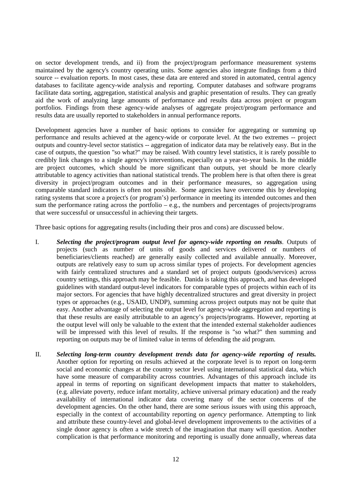on sector development trends, and ii) from the project/program performance measurement systems maintained by the agency's country operating units. Some agencies also integrate findings from a third source -- evaluation reports. In most cases, these data are entered and stored in automated, central agency databases to facilitate agency-wide analysis and reporting. Computer databases and software programs facilitate data sorting, aggregation, statistical analysis and graphic presentation of results. They can greatly aid the work of analyzing large amounts of performance and results data across project or program portfolios. Findings from these agency-wide analyses of aggregate project/program performance and results data are usually reported to stakeholders in annual performance reports.

Development agencies have a number of basic options to consider for aggregating or summing up performance and results achieved at the agency-wide or corporate level. At the two extremes -- project outputs and country-level sector statistics -- aggregation of indicator data may be relatively easy. But in the case of outputs, the question "so what?" may be raised. With country level statistics, it is rarely possible to credibly link changes to a single agency's interventions, especially on a year-to-year basis. In the middle are project outcomes, which should be more significant than outputs, yet should be more clearly attributable to agency activities than national statistical trends. The problem here is that often there is great diversity in project/program outcomes and in their performance measures, so aggregation using comparable standard indicators is often not possible. Some agencies have overcome this by developing rating systems that score a project's (or program's) performance in meeting its intended outcomes and then sum the performance rating across the portfolio – e.g., the numbers and percentages of projects/programs that were successful or unsuccessful in achieving their targets.

Three basic options for aggregating results (including their pros and cons) are discussed below.

- I. *Selecting the project/program output level for agency-wide reporting on results.* Outputs of projects (such as number of units of goods and services delivered or numbers of beneficiaries/clients reached) are generally easily collected and available annually. Moreover, outputs are relatively easy to sum up across similar types of projects. For development agencies with fairly centralized structures and a standard set of project outputs (goods/services) across country settings, this approach may be feasible. Danida is taking this approach, and has developed guidelines with standard output-level indicators for comparable types of projects within each of its major sectors. For agencies that have highly decentralized structures and great diversity in project types or approaches (e.g., USAID, UNDP), summing across project outputs may not be quite that easy. Another advantage of selecting the output level for agency-wide aggregation and reporting is that these results are easily attributable to an agency's projects/programs. However, reporting at the output level will only be valuable to the extent that the intended external stakeholder audiences will be impressed with this level of results. If the response is "so what?" then summing and reporting on outputs may be of limited value in terms of defending the aid program.
- II. *Selecting long-term country development trends data for agency-wide reporting of results.* Another option for reporting on results achieved at the corporate level is to report on long-term social and economic changes at the country sector level using international statistical data, which have some measure of comparability across countries. Advantages of this approach include its appeal in terms of reporting on significant development impacts that matter to stakeholders, (e.g. alleviate poverty, reduce infant mortality, achieve universal primary education) and the ready availability of international indicator data covering many of the sector concerns of the development agencies. On the other hand, there are some serious issues with using this approach, especially in the context of accountability reporting on *agency* performance. Attempting to link and attribute these country-level and global-level development improvements to the activities of a single donor agency is often a wide stretch of the imagination that many will question. Another complication is that performance monitoring and reporting is usually done annually, whereas data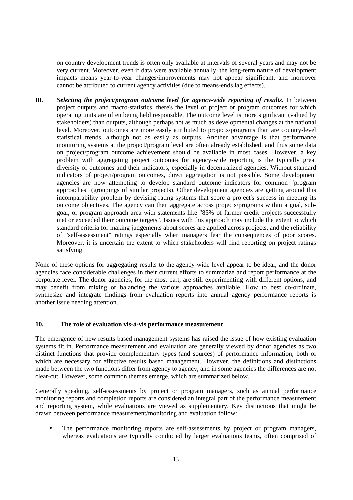on country development trends is often only available at intervals of several years and may not be very current. Moreover, even if data were available annually, the long-term nature of development impacts means year-to-year changes/improvements may not appear significant, and moreover cannot be attributed to current agency activities (due to means-ends lag effects).

III. *Selecting the project/program outcome level for agency-wide reporting of results.* In between project outputs and macro-statistics, there's the level of project or program outcomes for which operating units are often being held responsible. The outcome level is more significant (valued by stakeholders) than outputs, although perhaps not as much as developmental changes at the national level. Moreover, outcomes are more easily attributed to projects/programs than are country-level statistical trends, although not as easily as outputs. Another advantage is that performance monitoring systems at the project/program level are often already established, and thus some data on project/program outcome achievement should be available in most cases. However, a key problem with aggregating project outcomes for agency-wide reporting is the typically great diversity of outcomes and their indicators, especially in decentralized agencies. Without standard indicators of project/program outcomes, direct aggregation is not possible. Some development agencies are now attempting to develop standard outcome indicators for common "program approaches" (groupings of similar projects). Other development agencies are getting around this incomparability problem by devising rating systems that score a project's success in meeting its outcome objectives. The agency can then aggregate across projects/programs within a goal, subgoal, or program approach area with statements like "85% of farmer credit projects successfully met or exceeded their outcome targets". Issues with this approach may include the extent to which standard criteria for making judgements about scores are applied across projects, and the reliability of "self-assessment" ratings especially when managers fear the consequences of poor scores. Moreover, it is uncertain the extent to which stakeholders will find reporting on project ratings satisfying.

None of these options for aggregating results to the agency-wide level appear to be ideal, and the donor agencies face considerable challenges in their current efforts to summarize and report performance at the corporate level. The donor agencies, for the most part, are still experimenting with different options, and may benefit from mixing or balancing the various approaches available. How to best co-ordinate, synthesize and integrate findings from evaluation reports into annual agency performance reports is another issue needing attention.

### **10. The role of evaluation vis-à-vis performance measurement**

The emergence of new results based management systems has raised the issue of how existing evaluation systems fit in. Performance measurement and evaluation are generally viewed by donor agencies as two distinct functions that provide complementary types (and sources) of performance information, both of which are necessary for effective results based management. However, the definitions and distinctions made between the two functions differ from agency to agency, and in some agencies the differences are not clear-cut. However, some common themes emerge, which are summarized below.

Generally speaking, self-assessments by project or program managers, such as annual performance monitoring reports and completion reports are considered an integral part of the performance measurement and reporting system, while evaluations are viewed as supplementary. Key distinctions that might be drawn between performance measurement/monitoring and evaluation follow:

The performance monitoring reports are self-assessments by project or program managers, whereas evaluations are typically conducted by larger evaluations teams, often comprised of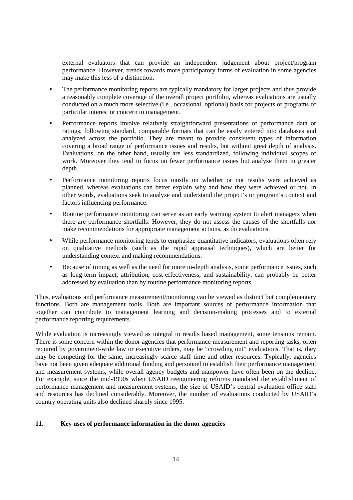external evaluators that can provide an independent judgement about project/program performance. However, trends towards more participatory forms of evaluation in some agencies may make this less of a distinction.

- The performance monitoring reports are typically mandatory for larger projects and thus provide a reasonably complete coverage of the overall project portfolio, whereas evaluations are usually conducted on a much more selective (i.e., occasional, optional) basis for projects or programs of particular interest or concern to management.
- Performance reports involve relatively straightforward presentations of performance data or ratings, following standard, comparable formats that can be easily entered into databases and analyzed across the portfolio. They are meant to provide consistent types of information covering a broad range of performance issues and results, but without great depth of analysis. Evaluations, on the other hand, usually are less standardized, following individual scopes of work. Moreover they tend to focus on fewer performance issues but analyze them in greater depth.
- Performance monitoring reports focus mostly on whether or not results were achieved as planned, whereas evaluations can better explain why and how they were achieved or not. In other words, evaluations seek to analyze and understand the project's or program's context and factors influencing performance.
- Routine performance monitoring can serve as an early warning system to alert managers when there are performance shortfalls. However, they do not assess the causes of the shortfalls nor make recommendations for appropriate management actions, as do evaluations.
- While performance monitoring tends to emphasize quantitative indicators, evaluations often rely on qualitative methods (such as the rapid appraisal techniques), which are better for understanding context and making recommendations.
- Because of timing as well as the need for more in-depth analysis, some performance issues, such as long-term impact, attribution, cost-effectiveness, and sustainability, can probably be better addressed by evaluation than by routine performance monitoring reports.

Thus, evaluations and performance measurement/monitoring can be viewed as distinct but complementary functions. Both are management tools. Both are important sources of performance information that together can contribute to management learning and decision-making processes and to external performance reporting requirements.

While evaluation is increasingly viewed as integral to results based management, some tensions remain. There is some concern within the donor agencies that performance measurement and reporting tasks, often required by government-wide law or executive orders, may be "crowding out" evaluations. That is, they may be competing for the same, increasingly scarce staff time and other resources. Typically, agencies have not been given adequate additional funding and personnel to establish their performance management and measurement systems, while overall agency budgets and manpower have often been on the decline. For example, since the mid-1990s when USAID reengineering reforms mandated the establishment of performance management and measurement systems, the size of USAID's central evaluation office staff and resources has declined considerably. Moreover, the number of evaluations conducted by USAID's country operating units also declined sharply since 1995.

## **11. Key uses of performance information in the donor agencies**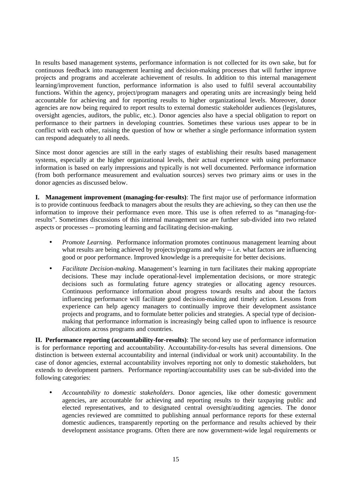In results based management systems, performance information is not collected for its own sake, but for continuous feedback into management learning and decision-making processes that will further improve projects and programs and accelerate achievement of results. In addition to this internal management learning/improvement function, performance information is also used to fulfil several accountability functions. Within the agency, project/program managers and operating units are increasingly being held accountable for achieving and for reporting results to higher organizational levels. Moreover, donor agencies are now being required to report results to external domestic stakeholder audiences (legislatures, oversight agencies, auditors, the public, etc.). Donor agencies also have a special obligation to report on performance to their partners in developing countries. Sometimes these various uses appear to be in conflict with each other, raising the question of how or whether a single performance information system can respond adequately to all needs.

Since most donor agencies are still in the early stages of establishing their results based management systems, especially at the higher organizational levels, their actual experience with using performance information is based on early impressions and typically is not well documented. Performance information (from both performance measurement and evaluation sources) serves two primary aims or uses in the donor agencies as discussed below.

**I. Management improvement (managing-for-results)**: The first major use of performance information is to provide continuous feedback to managers about the results they are achieving, so they can then use the information to improve their performance even more. This use is often referred to as "managing-forresults". Sometimes discussions of this internal management use are further sub-divided into two related aspects or processes -- promoting learning and facilitating decision-making.

- *Promote Learning*. Performance information promotes continuous management learning about what results are being achieved by projects/programs and why -- i.e. what factors are influencing good or poor performance. Improved knowledge is a prerequisite for better decisions.
- *Facilitate Decision-making*. Management's learning in turn facilitates their making appropriate decisions. These may include operational-level implementation decisions, or more strategic decisions such as formulating future agency strategies or allocating agency resources. Continuous performance information about progress towards results and about the factors influencing performance will facilitate good decision-making and timely action. Lessons from experience can help agency managers to continually improve their development assistance projects and programs, and to formulate better policies and strategies. A special type of decisionmaking that performance information is increasingly being called upon to influence is resource allocations across programs and countries.

**II. Performance reporting (accountability-for-results)**: The second key use of performance information is for performance reporting and accountability. Accountability-for-results has several dimensions. One distinction is between external accountability and internal (individual or work unit) accountability. In the case of donor agencies, external accountability involves reporting not only to domestic stakeholders, but extends to development partners. Performance reporting/accountability uses can be sub-divided into the following categories:

• *Accountability to domestic stakeholders*. Donor agencies, like other domestic government agencies, are accountable for achieving and reporting results to their taxpaying public and elected representatives, and to designated central oversight/auditing agencies. The donor agencies reviewed are committed to publishing annual performance reports for these external domestic audiences, transparently reporting on the performance and results achieved by their development assistance programs. Often there are now government-wide legal requirements or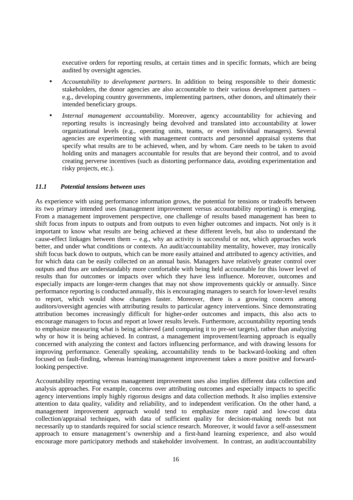executive orders for reporting results, at certain times and in specific formats, which are being audited by oversight agencies.

- *Accountability to development partners*. In addition to being responsible to their domestic stakeholders, the donor agencies are also accountable to their various development partners – e.g., developing country governments, implementing partners, other donors, and ultimately their intended beneficiary groups.
- *Internal management accountability*. Moreover, agency accountability for achieving and reporting results is increasingly being devolved and translated into accountability at lower organizational levels (e.g., operating units, teams, or even individual managers). Several agencies are experimenting with management contracts and personnel appraisal systems that specify what results are to be achieved, when, and by whom. Care needs to be taken to avoid holding units and managers accountable for results that are beyond their control, and to avoid creating perverse incentives (such as distorting performance data, avoiding experimentation and risky projects, etc.).

### *11.1 Potential tensions between uses*

As experience with using performance information grows, the potential for tensions or tradeoffs between its two primary intended uses (management improvement versus accountability reporting) is emerging. From a management improvement perspective, one challenge of results based management has been to shift focus from inputs to outputs and from outputs to even higher outcomes and impacts. Not only is it important to know what results are being achieved at these different levels, but also to understand the cause-effect linkages between them -- e.g., why an activity is successful or not, which approaches work better, and under what conditions or contexts. An audit/accountability mentality, however, may ironically shift focus back down to outputs, which can be more easily attained and attributed to agency activities, and for which data can be easily collected on an annual basis. Managers have relatively greater control over outputs and thus are understandably more comfortable with being held accountable for this lower level of results than for outcomes or impacts over which they have less influence. Moreover, outcomes and especially impacts are longer-term changes that may not show improvements quickly or annually. Since performance reporting is conducted annually, this is encouraging managers to search for lower-level results to report, which would show changes faster. Moreover, there is a growing concern among auditors/oversight agencies with attributing results to particular agency interventions. Since demonstrating attribution becomes increasingly difficult for higher-order outcomes and impacts, this also acts to encourage managers to focus and report at lower results levels. Furthermore, accountability reporting tends to emphasize measuring what is being achieved (and comparing it to pre-set targets), rather than analyzing why or how it is being achieved. In contrast, a management improvement/learning approach is equally concerned with analyzing the context and factors influencing performance, and with drawing lessons for improving performance. Generally speaking, accountability tends to be backward-looking and often focused on fault-finding, whereas learning/management improvement takes a more positive and forwardlooking perspective.

Accountability reporting versus management improvement uses also implies different data collection and analysis approaches. For example, concerns over attributing outcomes and especially impacts to specific agency interventions imply highly rigorous designs and data collection methods. It also implies extensive attention to data quality, validity and reliability, and to independent verification. On the other hand, a management improvement approach would tend to emphasize more rapid and low-cost data collection/appraisal techniques, with data of sufficient quality for decision-making needs but not necessarily up to standards required for social science research. Moreover, it would favor a self-assessment approach to ensure management's ownership and a first-hand learning experience, and also would encourage more participatory methods and stakeholder involvement. In contrast, an audit/accountability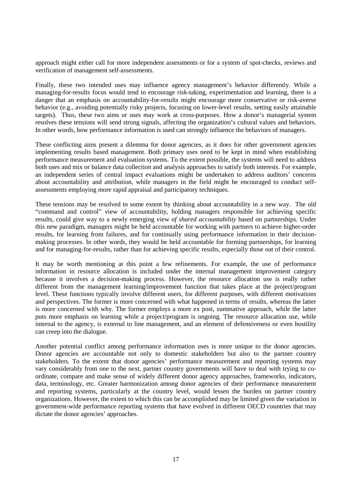approach might either call for more independent assessments or for a system of spot-checks, reviews and verification of management self-assessments.

Finally, these two intended uses may influence agency management's behavior differently. While a managing-for-results focus would tend to encourage risk-taking, experimentation and learning, there is a danger that an emphasis on accountability-for-results might encourage more conservative or risk-averse behavior (e.g., avoiding potentially risky projects, focusing on lower-level results, setting easily attainable targets). Thus, these two aims or uses may work at cross-purposes. How a donor's managerial system resolves these tensions will send strong signals, affecting the organization's cultural values and behaviors. In other words, how performance information is used can strongly influence the behaviors of managers.

These conflicting aims present a dilemma for donor agencies, as it does for other government agencies implementing results based management. Both primary uses need to be kept in mind when establishing performance measurement and evaluation systems. To the extent possible, the systems will need to address both uses and mix or balance data collection and analysis approaches to satisfy both interests. For example, an independent series of central impact evaluations might be undertaken to address auditors' concerns about accountability and attribution, while managers in the field might be encouraged to conduct selfassessments employing more rapid appraisal and participatory techniques.

These tensions may be resolved to some extent by thinking about accountability in a new way. The old "command and control" view of accountability, holding managers responsible for achieving specific results, could give way to a newly emerging view *of shared accountability* based on partnerships. Under this new paradigm, managers might be held accountable for working with partners to achieve higher-order results, for learning from failures, and for continually using performance information in their decisionmaking processes. In other words, they would be held accountable for forming partnerships, for learning and for managing-for-results, rather than for achieving specific results, especially those out of their control.

It may be worth mentioning at this point a few refinements. For example, the use of performance information in resource allocation is included under the internal management improvement category because it involves a decision-making process. However, the resource allocation use is really rather different from the management learning/improvement function that takes place at the project/program level. These functions typically involve different users, for different purposes, with different motivations and perspectives. The former is more concerned with what happened in terms of results, whereas the latter is more concerned with why. The former employs a more ex post, summative approach, while the latter puts more emphasis on learning while a project/program is ongoing. The resource allocation use, while internal to the agency, is external to line management, and an element of defensiveness or even hostility can creep into the dialogue.

Another potential conflict among performance information uses is more unique to the donor agencies. Donor agencies are accountable not only to domestic stakeholders but also to the partner country stakeholders. To the extent that donor agencies' performance measurement and reporting systems may vary considerably from one to the next, partner country governments will have to deal with trying to coordinate, compare and make sense of widely different donor agency approaches, frameworks, indicators, data, terminology, etc. Greater harmonization among donor agencies of their performance measurement and reporting systems, particularly at the country level, would lessen the burden on partner country organizations. However, the extent to which this can be accomplished may be limited given the variation in government-wide performance reporting systems that have evolved in different OECD countries that may dictate the donor agencies' approaches.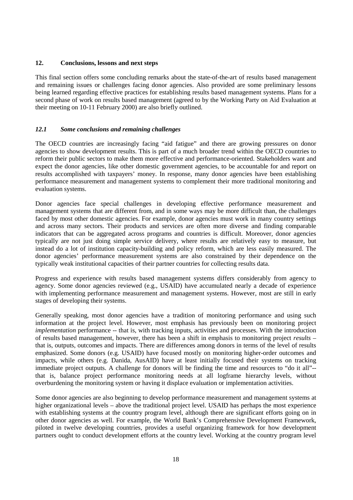## **12. Conclusions, lessons and next steps**

This final section offers some concluding remarks about the state-of-the-art of results based management and remaining issues or challenges facing donor agencies. Also provided are some preliminary lessons being learned regarding effective practices for establishing results based management systems. Plans for a second phase of work on results based management (agreed to by the Working Party on Aid Evaluation at their meeting on 10-11 February 2000) are also briefly outlined.

#### *12.1 Some conclusions and remaining challenges*

The OECD countries are increasingly facing "aid fatigue" and there are growing pressures on donor agencies to show development results. This is part of a much broader trend within the OECD countries to reform their public sectors to make them more effective and performance-oriented. Stakeholders want and expect the donor agencies, like other domestic government agencies, to be accountable for and report on results accomplished with taxpayers' money. In response, many donor agencies have been establishing performance measurement and management systems to complement their more traditional monitoring and evaluation systems.

Donor agencies face special challenges in developing effective performance measurement and management systems that are different from, and in some ways may be more difficult than, the challenges faced by most other domestic agencies. For example, donor agencies must work in many country settings and across many sectors. Their products and services are often more diverse and finding comparable indicators that can be aggregated across programs and countries is difficult. Moreover, donor agencies typically are not just doing simple service delivery, where results are relatively easy to measure, but instead do a lot of institution capacity-building and policy reform, which are less easily measured. The donor agencies' performance measurement systems are also constrained by their dependence on the typically weak institutional capacities of their partner countries for collecting results data.

Progress and experience with results based management systems differs considerably from agency to agency. Some donor agencies reviewed (e.g., USAID) have accumulated nearly a decade of experience with implementing performance measurement and management systems. However, most are still in early stages of developing their systems.

Generally speaking, most donor agencies have a tradition of monitoring performance and using such information at the project level. However, most emphasis has previously been on monitoring project *implementation* performance -- that is, with tracking inputs, activities and processes. With the introduction of results based management, however, there has been a shift in emphasis to monitoring project *results* – that is, outputs, outcomes and impacts. There are differences among donors in terms of the level of results emphasized. Some donors (e.g. USAID) have focused mostly on monitoring higher-order outcomes and impacts, while others (e.g. Danida, AusAID) have at least initially focused their systems on tracking immediate project outputs. A challenge for donors will be finding the time and resources to "do it all"- that is, balance project performance monitoring needs at all logframe hierarchy levels, without overburdening the monitoring system or having it displace evaluation or implementation activities.

Some donor agencies are also beginning to develop performance measurement and management systems at higher organizational levels – above the traditional project level. USAID has perhaps the most experience with establishing systems at the country program level, although there are significant efforts going on in other donor agencies as well. For example, the World Bank's Comprehensive Development Framework, piloted in twelve developing countries, provides a useful organizing framework for how development partners ought to conduct development efforts at the country level. Working at the country program level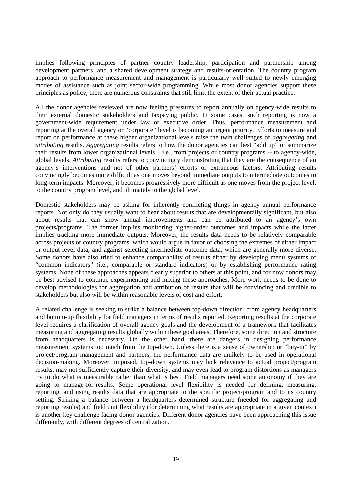implies following principles of partner country leadership, participation and partnership among development partners, and a shared development strategy and results-orientation. The country program approach to performance measurement and management is particularly well suited to newly emerging modes of assistance such as joint sector-wide programming. While most donor agencies support these principles as policy, there are numerous constraints that still limit the extent of their actual practice.

All the donor agencies reviewed are now feeling pressures to report annually on agency-wide results to their external domestic stakeholders and taxpaying public. In some cases, such reporting is now a government-wide requirement under law or executive order. Thus, performance measurement and reporting at the overall agency or "corporate" level is becoming an urgent priority. Efforts to measure and report on performance at these higher organizational levels raise the twin challenges of *aggregating* and *attributing* results. *Aggregating* results refers to how the donor agencies can best "add up" or summarize their results from lower organizational levels – i.e., from projects or country programs -- to agency-wide, global levels. *Attributing* results refers to convincingly demonstrating that they are the consequence of an agency's interventions and not of other partners' efforts or extraneous factors. Attributing results convincingly becomes more difficult as one moves beyond immediate outputs to intermediate outcomes to long-term impacts. Moreover, it becomes progressively more difficult as one moves from the project level, to the country program level, and ultimately to the global level.

Domestic stakeholders may be asking for inherently conflicting things in agency annual performance reports. Not only do they usually want to hear about results that are developmentally significant, but also about results that can show annual improvements and can be attributed to an agency's own projects/programs. The former implies monitoring higher-order outcomes and impacts while the latter implies tracking more immediate outputs. Moreover, the results data needs to be relatively comparable across projects or country programs, which would argue in favor of choosing the extremes of either impact or output level data, and against selecting intermediate outcome data, which are generally more diverse. Some donors have also tried to enhance comparability of results either by developing menu systems of "common indicators" (i.e., comparable or standard indicators) or by establishing performance rating systems. None of these approaches appears clearly superior to others at this point, and for now donors may be best advised to continue experimenting and mixing these approaches. More work needs to be done to develop methodologies for aggregation and attribution of results that will be convincing and credible to stakeholders but also will be within reasonable levels of cost and effort.

A related challenge is seeking to strike a balance between top-down direction from agency headquarters and bottom-up flexibility for field managers in terms of results reported. Reporting results at the corporate level requires a clarification of overall agency goals and the development of a framework that facilitates measuring and aggregating results globally within these goal areas. Therefore, some direction and structure from headquarters is necessary. On the other hand, there are dangers in designing performance measurement systems too much from the top-down. Unless there is a sense of ownership or "buy-in" by project/program management and partners, the performance data are unlikely to be used in operational decision-making. Moreover, imposed, top-down systems may lack relevance to actual project/program results, may not sufficiently capture their diversity, and may even lead to program distortions as managers try to do what is measurable rather than what is best. Field managers need some autonomy if they are going to manage-for-results. Some operational level flexibility is needed for defining, measuring, reporting, and using results data that are appropriate to the specific project/program and to its country setting. Striking a balance between a headquarters determined structure (needed for aggregating and reporting results) and field unit flexibility (for determining what results are appropriate in a given context) is another key challenge facing donor agencies. Different donor agencies have been approaching this issue differently, with different degrees of centralization.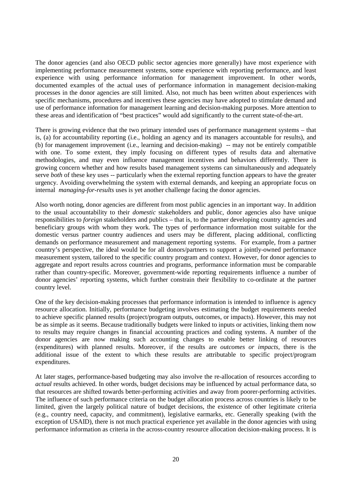The donor agencies (and also OECD public sector agencies more generally) have most experience with implementing performance measurement systems, some experience with reporting performance, and least experience with using performance information for management improvement. In other words, documented examples of the actual uses of performance information in management decision-making processes in the donor agencies are still limited. Also, not much has been written about experiences with specific mechanisms, procedures and incentives these agencies may have adopted to stimulate demand and use of performance information for management learning and decision-making purposes. More attention to these areas and identification of "best practices" would add significantly to the current state-of-the-art.

There is growing evidence that the two primary intended uses of performance management systems – that is, (a) for accountability reporting (i.e., holding an agency and its managers accountable for results), and (b) for management improvement (i.e., learning and decision-making) -- may not be entirely compatible with one. To some extent, they imply focusing on different types of results data and alternative methodologies, and may even influence management incentives and behaviors differently. There is growing concern whether and how results based management systems can simultaneously and adequately serve *both* of these key uses -- particularly when the external reporting function appears to have the greater urgency. Avoiding overwhelming the system with external demands, and keeping an appropriate focus on internal *managing-for-results* uses is yet another challenge facing the donor agencies.

Also worth noting, donor agencies are different from most public agencies in an important way. In addition to the usual accountability to their *domestic* stakeholders and public, donor agencies also have unique responsibilities to *foreign* stakeholders and publics – that is, to the partner developing country agencies and beneficiary groups with whom they work. The types of performance information most suitable for the domestic versus partner country audiences and users may be different, placing additional, conflicting demands on performance measurement and management reporting systems. For example, from a partner country's perspective, the ideal would be for all donors/partners to support a jointly-owned performance measurement system, tailored to the specific country program and context. However, for donor agencies to aggregate and report results across countries and programs, performance information must be comparable rather than country-specific. Moreover, government-wide reporting requirements influence a number of donor agencies' reporting systems, which further constrain their flexibility to co-ordinate at the partner country level.

One of the key decision-making processes that performance information is intended to influence is agency resource allocation. Initially, performance budgeting involves estimating the budget requirements needed to achieve specific planned results (project/program outputs, outcomes, or impacts). However, this may not be as simple as it seems. Because traditionally budgets were linked to inputs or activities, linking them now to results may require changes in financial accounting practices and coding systems. A number of the donor agencies are now making such accounting changes to enable better linking of resources (expenditures) with planned results. Moreover, if the results are *outcomes or impacts,* there is the additional issue of the extent to which these results are attributable to specific project/program expenditures.

At later stages, performance-based budgeting may also involve the re-allocation of resources according to *actual* results achieved. In other words, budget decisions may be influenced by actual performance data, so that resources are shifted towards better-performing activities and away from poorer-performing activities. The influence of such performance criteria on the budget allocation process across countries is likely to be limited, given the largely political nature of budget decisions, the existence of other legitimate criteria (e.g., country need, capacity, and commitment), legislative earmarks, etc. Generally speaking (with the exception of USAID), there is not much practical experience yet available in the donor agencies with using performance information as criteria in the across-country resource allocation decision-making process. It is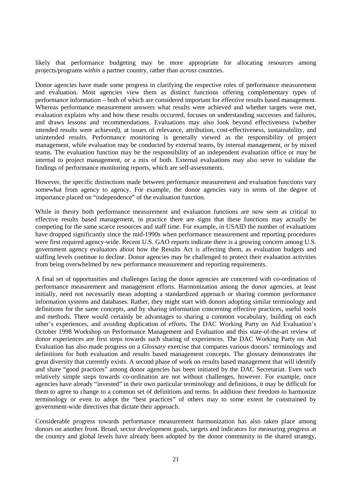likely that performance budgeting may be more appropriate for allocating resources among projects/programs *within* a partner country, rather than *across* countries.

Donor agencies have made some progress in clarifying the respective roles of performance measurement and evaluation. Most agencies view them as distinct functions offering complementary types of performance information – both of which are considered important for effective results based management. Whereas performance measurement answers what results were achieved and whether targets were met, evaluation explains why and how these results occurred, focuses on understanding successes and failures, and draws lessons and recommendations. Evaluations may also look beyond effectiveness (whether intended results were achieved), at issues of relevance, attribution, cost-effectiveness, sustainability, and unintended results. Performance monitoring is generally viewed as the responsibility of project management, while evaluation may be conducted by external teams, by internal management, or by mixed teams. The evaluation function may be the responsibility of an independent evaluation office or may be internal to project management, or a mix of both. External evaluations may also serve to validate the findings of performance monitoring reports, which are self-assessments.

However, the specific distinctions made between performance measurement and evaluation functions vary somewhat from agency to agency. For example, the donor agencies vary in terms of the degree of importance placed on "independence" of the evaluation function.

While in theory both performance measurement and evaluation functions are now seen as critical to effective results based management, in practice there are signs that these functions may actually be competing for the same scarce resources and staff time. For example, in USAID the number of evaluations have dropped significantly since the mid-1990s when performance measurement and reporting procedures were first required agency-wide. Recent U.S. GAO reports indicate there is a growing concern among U.S. government agency evaluators about how the Results Act is affecting them, as evaluation budgets and staffing levels continue to decline. Donor agencies may be challenged to protect their evaluation activities from being overwhelmed by new performance measurement and reporting requirements.

A final set of opportunities and challenges facing the donor agencies are concerned with co-ordination of performance measurement and management efforts. Harmonization among the donor agencies, at least initially, need not necessarily mean adopting a standardized approach or sharing common performance information systems and databases. Rather, they might start with donors adopting similar terminology and definitions for the same concepts, and by sharing information concerning effective practices, useful tools and methods. There would certainly be advantages to sharing a common vocabulary, building on each other's experiences, and avoiding duplication of efforts. The DAC Working Party on Aid Evaluation's October 1998 Workshop on Performance Management and Evaluation and this state-of-the-art review of donor experiences are first steps towards such sharing of experiences. The DAC Working Party on Aid Evaluation has also made progress on a *Glossary* exercise that compares various donors' terminology and definitions for both evaluation and results based management concepts. The glossary demonstrates the great diversity that currently exists. A second phase of work on results based management that will identify and share "good practices" among donor agencies has been initiated by the DAC Secretariat. Even such relatively simple steps towards co-ordination are not without challenges, however. For example, once agencies have already "invested" in their own particular terminology and definitions, it may be difficult for them to agree to change to a common set of definitions and terms. In addition their freedom to harmonize terminology or even to adopt the "best practices" of others may to some extent be constrained by government-wide directives that dictate their approach.

Considerable progress towards performance measurement harmonization has also taken place among donors on another front. Broad, sector development goals, targets and indicators for measuring progress at the country and global levels have already been adopted by the donor community in the shared strategy,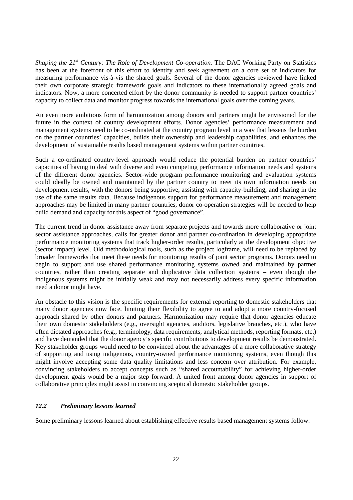*Shaping the 21st Century: The Role of Development Co-operation.* The DAC Working Party on Statistics has been at the forefront of this effort to identify and seek agreement on a core set of indicators for measuring performance vis-à-vis the shared goals. Several of the donor agencies reviewed have linked their own corporate strategic framework goals and indicators to these internationally agreed goals and indicators. Now, a more concerted effort by the donor community is needed to support partner countries' capacity to collect data and monitor progress towards the international goals over the coming years.

An even more ambitious form of harmonization among donors and partners might be envisioned for the future in the context of country development efforts. Donor agencies' performance measurement and management systems need to be co-ordinated at the country program level in a way that lessens the burden on the partner countries' capacities, builds their ownership and leadership capabilities, and enhances the development of sustainable results based management systems within partner countries.

Such a co-ordinated country-level approach would reduce the potential burden on partner countries' capacities of having to deal with diverse and even competing performance information needs and systems of the different donor agencies. Sector-wide program performance monitoring and evaluation systems could ideally be owned and maintained by the partner country to meet its own information needs on development results, with the donors being supportive, assisting with capacity-building, and sharing in the use of the same results data. Because indigenous support for performance measurement and management approaches may be limited in many partner countries, donor co-operation strategies will be needed to help build demand and capacity for this aspect of "good governance".

The current trend in donor assistance away from separate projects and towards more collaborative or joint sector assistance approaches, calls for greater donor and partner co-ordination in developing appropriate performance monitoring systems that track higher-order results, particularly at the development objective (sector impact) level. Old methodological tools, such as the project logframe, will need to be replaced by broader frameworks that meet these needs for monitoring results of joint sector programs. Donors need to begin to support and use shared performance monitoring systems owned and maintained by partner countries, rather than creating separate and duplicative data collection systems – even though the indigenous systems might be initially weak and may not necessarily address every specific information need a donor might have.

An obstacle to this vision is the specific requirements for external reporting to domestic stakeholders that many donor agencies now face, limiting their flexibility to agree to and adopt a more country-focused approach shared by other donors and partners. Harmonization may require that donor agencies educate their own domestic stakeholders (e.g., oversight agencies, auditors, legislative branches, etc.), who have often dictated approaches (e.g., terminology, data requirements, analytical methods, reporting formats, etc.) and have demanded that the donor agency's specific contributions to development results be demonstrated. Key stakeholder groups would need to be convinced about the advantages of a more collaborative strategy of supporting and using indigenous, country-owned performance monitoring systems, even though this might involve accepting some data quality limitations and less concern over attribution. For example, convincing stakeholders to accept concepts such as "shared accountability" for achieving higher-order development goals would be a major step forward. A united front among donor agencies in support of collaborative principles might assist in convincing sceptical domestic stakeholder groups.

#### *12.2 Preliminary lessons learned*

Some preliminary lessons learned about establishing effective results based management systems follow: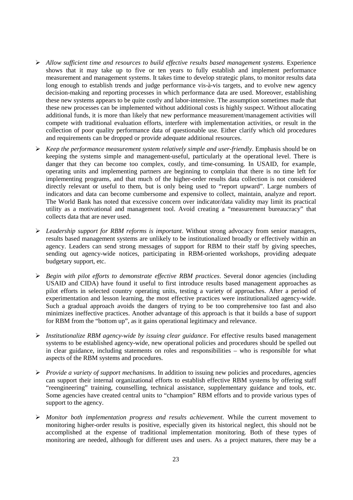- *Allow sufficient time and resources to build effective results based management systems*. Experience shows that it may take up to five or ten years to fully establish and implement performance measurement and management systems. It takes time to develop strategic plans, to monitor results data long enough to establish trends and judge performance vis-à-vis targets, and to evolve new agency decision-making and reporting processes in which performance data are used. Moreover, establishing these new systems appears to be quite costly and labor-intensive. The assumption sometimes made that these new processes can be implemented without additional costs is highly suspect. Without allocating additional funds, it is more than likely that new performance measurement/management activities will compete with traditional evaluation efforts, interfere with implementation activities, or result in the collection of poor quality performance data of questionable use. Either clarify which old procedures and requirements can be dropped or provide adequate additional resources.
- *Keep the performance measurement system relatively simple and user-friendly*. Emphasis should be on keeping the systems simple and management-useful, particularly at the operational level. There is danger that they can become too complex, costly, and time-consuming. In USAID, for example, operating units and implementing partners are beginning to complain that there is no time left for implementing programs, and that much of the higher-order results data collection is not considered directly relevant or useful to them, but is only being used to "report upward". Large numbers of indicators and data can become cumbersome and expensive to collect, maintain, analyze and report. The World Bank has noted that excessive concern over indicator/data validity may limit its practical utility as a motivational and management tool. Avoid creating a "measurement bureaucracy" that collects data that are never used.
- *Leadership support for RBM reforms is important*. Without strong advocacy from senior managers, results based management systems are unlikely to be institutionalized broadly or effectively within an agency. Leaders can send strong messages of support for RBM to their staff by giving speeches, sending out agency-wide notices, participating in RBM-oriented workshops, providing adequate budgetary support, etc.
- *Begin with pilot efforts to demonstrate effective RBM practices*. Several donor agencies (including USAID and CIDA) have found it useful to first introduce results based management approaches as pilot efforts in selected country operating units, testing a variety of approaches. After a period of experimentation and lesson learning, the most effective practices were institutionalized agency-wide. Such a gradual approach avoids the dangers of trying to be too comprehensive too fast and also minimizes ineffective practices. Another advantage of this approach is that it builds a base of support for RBM from the "bottom up", as it gains operational legitimacy and relevance.
- *Institutionalize RBM agency-wide by issuing clear guidance*. For effective results based management systems to be established agency-wide, new operational policies and procedures should be spelled out in clear guidance, including statements on roles and responsibilities – who is responsible for what aspects of the RBM systems and procedures.
- *Provide a variety of support mechanisms*. In addition to issuing new policies and procedures, agencies can support their internal organizational efforts to establish effective RBM systems by offering staff "reengineering" training, counselling, technical assistance, supplementary guidance and tools, etc. Some agencies have created central units to "champion" RBM efforts and to provide various types of support to the agency.
- *Monitor both implementation progress and results achievement*. While the current movement to monitoring higher-order results is positive, especially given its historical neglect, this should not be accomplished at the expense of traditional implementation monitoring. Both of these types of monitoring are needed, although for different uses and users. As a project matures, there may be a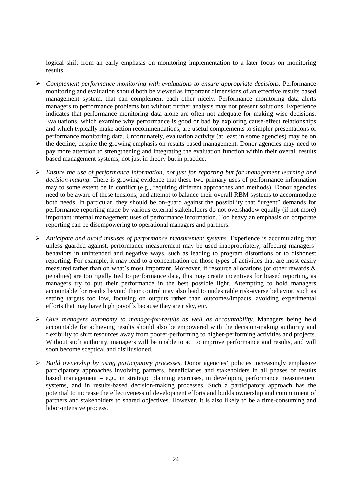logical shift from an early emphasis on monitoring implementation to a later focus on monitoring results.

- *Complement performance monitoring with evaluations to ensure appropriate decisions*. Performance monitoring and evaluation should both be viewed as important dimensions of an effective results based management system, that can complement each other nicely. Performance monitoring data alerts managers to performance problems but without further analysis may not present solutions. Experience indicates that performance monitoring data alone are often not adequate for making wise decisions. Evaluations, which examine why performance is good or bad by exploring cause-effect relationships and which typically make action recommendations, are useful complements to simpler presentations of performance monitoring data. Unfortunately, evaluation activity (at least in some agencies) may be on the decline, despite the growing emphasis on results based management. Donor agencies may need to pay more attention to strengthening and integrating the evaluation function within their overall results based management systems, not just in theory but in practice.
- *Ensure the use of performance information, not just for reporting but for management learning and decision-making*. There is growing evidence that these two primary uses of performance information may to some extent be in conflict (e.g., requiring different approaches and methods). Donor agencies need to be aware of these tensions, and attempt to balance their overall RBM systems to accommodate both needs. In particular, they should be on-guard against the possibility that "urgent" demands for performance reporting made by various external stakeholders do not overshadow equally (if not more) important internal management uses of performance information. Too heavy an emphasis on corporate reporting can be disempowering to operational managers and partners.
- *Anticipate and avoid misuses of performance measurement systems*. Experience is accumulating that unless guarded against, performance measurement may be used inappropriately, affecting managers' behaviors in unintended and negative ways, such as leading to program distortions or to dishonest reporting. For example, it may lead to a concentration on those types of activities that are most easily measured rather than on what's most important. Moreover, if resource allocations (or other rewards & penalties) are too rigidly tied to performance data, this may create incentives for biased reporting, as managers try to put their performance in the best possible light. Attempting to hold managers accountable for results beyond their control may also lead to undesirable risk-averse behavior, such as setting targets too low, focusing on outputs rather than outcomes/impacts, avoiding experimental efforts that may have high payoffs because they are risky, etc.
- *Give managers autonomy to manage-for-results as well as accountability*. Managers being held accountable for achieving results should also be empowered with the decision-making authority and flexibility to shift resources away from poorer-performing to higher-performing activities and projects. Without such authority, managers will be unable to act to improve performance and results, and will soon become sceptical and disillusioned.
- *Build ownership by using participatory processes*. Donor agencies' policies increasingly emphasize participatory approaches involving partners, beneficiaries and stakeholders in all phases of results based management – e.g., in strategic planning exercises, in developing performance measurement systems, and in results-based decision-making processes. Such a participatory approach has the potential to increase the effectiveness of development efforts and builds ownership and commitment of partners and stakeholders to shared objectives. However, it is also likely to be a time-consuming and labor-intensive process.